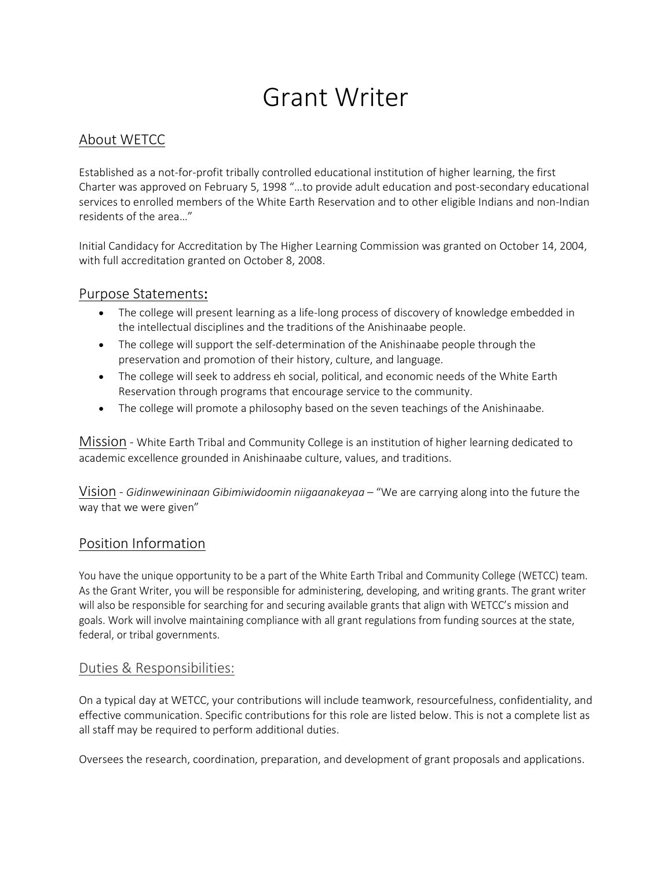# Grant Writer

## About WETCC

Established as a not-for-profit tribally controlled educational institution of higher learning, the first Charter was approved on February 5, 1998 "…to provide adult education and post-secondary educational services to enrolled members of the White Earth Reservation and to other eligible Indians and non-Indian residents of the area…"

Initial Candidacy for Accreditation by The Higher Learning Commission was granted on October 14, 2004, with full accreditation granted on October 8, 2008.

### Purpose Statements:

- The college will present learning as a life-long process of discovery of knowledge embedded in the intellectual disciplines and the traditions of the Anishinaabe people.
- The college will support the self-determination of the Anishinaabe people through the preservation and promotion of their history, culture, and language.
- The college will seek to address eh social, political, and economic needs of the White Earth Reservation through programs that encourage service to the community.
- The college will promote a philosophy based on the seven teachings of the Anishinaabe.

Mission - White Earth Tribal and Community College is an institution of higher learning dedicated to academic excellence grounded in Anishinaabe culture, values, and traditions.

Vision - *Gidinwewininaan Gibimiwidoomin niigaanakeyaa* – "We are carrying along into the future the way that we were given"

#### Position Information

You have the unique opportunity to be a part of the White Earth Tribal and Community College (WETCC) team. As the Grant Writer, you will be responsible for administering, developing, and writing grants. The grant writer will also be responsible for searching for and securing available grants that align with WETCC's mission and goals. Work will involve maintaining compliance with all grant regulations from funding sources at the state, federal, or tribal governments.

#### Duties & Responsibilities:

On a typical day at WETCC, your contributions will include teamwork, resourcefulness, confidentiality, and effective communication. Specific contributions for this role are listed below. This is not a complete list as all staff may be required to perform additional duties.

Oversees the research, coordination, preparation, and development of grant proposals and applications.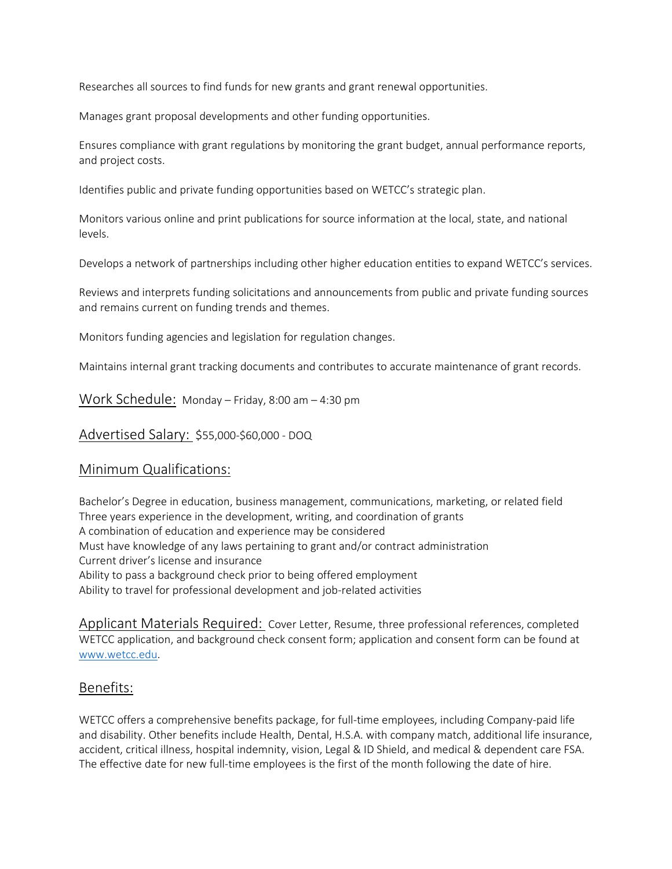Researches all sources to find funds for new grants and grant renewal opportunities.

Manages grant proposal developments and other funding opportunities.

Ensures compliance with grant regulations by monitoring the grant budget, annual performance reports, and project costs.

Identifies public and private funding opportunities based on WETCC's strategic plan.

Monitors various online and print publications for source information at the local, state, and national levels.

Develops a network of partnerships including other higher education entities to expand WETCC's services.

Reviews and interprets funding solicitations and announcements from public and private funding sources and remains current on funding trends and themes.

Monitors funding agencies and legislation for regulation changes.

Maintains internal grant tracking documents and contributes to accurate maintenance of grant records.

Work Schedule: Monday – Friday, 8:00 am – 4:30 pm

Advertised Salary: \$55,000-\$60,000 - DOQ

#### Minimum Qualifications:

Bachelor's Degree in education, business management, communications, marketing, or related field Three years experience in the development, writing, and coordination of grants A combination of education and experience may be considered Must have knowledge of any laws pertaining to grant and/or contract administration Current driver's license and insurance Ability to pass a background check prior to being offered employment Ability to travel for professional development and job-related activities

Applicant Materials Required: Cover Letter, Resume, three professional references, completed WETCC application, and background check consent form; application and consent form can be found at [www.wetcc.edu.](http://www.wetcc.edu/)

#### Benefits:

WETCC offers a comprehensive benefits package, for full-time employees, including Company-paid life and disability. Other benefits include Health, Dental, H.S.A. with company match, additional life insurance, accident, critical illness, hospital indemnity, vision, Legal & ID Shield, and medical & dependent care FSA. The effective date for new full-time employees is the first of the month following the date of hire.